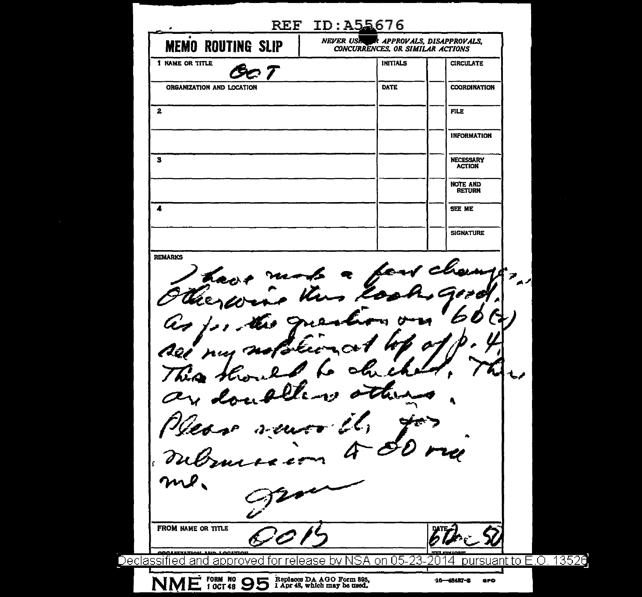| <b>INITIALS</b><br><b>CIRCULATE</b><br>DATE<br><b>COORDINATION</b><br>ORGANIZATION AND LOCATION<br><b>FILE</b><br><b>INFORMATION</b><br><b>NECESSARY</b><br><b>ACTION</b><br><b>NOTE AND</b><br><b>RETURN</b><br>SEE ME<br><b>SIGNATURE</b><br>C<br>$\leq$<br>$\bullet$<br>have near<br>there<br>Aêt nur'<br>This.<br>مما<br>$\bullet$<br>$2 - 2$ let<br><b>ODGLUITLETION</b><br><b>OCUTION</b><br>- 1110<br>pursuant to E.O. 13526 | <b>MEMO ROUTING SLIP</b> | NEVER USE R APPROVALS, DISAPPROVALS,<br>CONCURRENCES, OR SIMILAR ACTIONS |  |
|-------------------------------------------------------------------------------------------------------------------------------------------------------------------------------------------------------------------------------------------------------------------------------------------------------------------------------------------------------------------------------------------------------------------------------------|--------------------------|--------------------------------------------------------------------------|--|
|                                                                                                                                                                                                                                                                                                                                                                                                                                     | 1 NAME OR TITLE          |                                                                          |  |
| 2<br><b>REMARKS</b><br>Declassified and approved for release by NSA on 05-23-2                                                                                                                                                                                                                                                                                                                                                      |                          |                                                                          |  |
|                                                                                                                                                                                                                                                                                                                                                                                                                                     |                          |                                                                          |  |
|                                                                                                                                                                                                                                                                                                                                                                                                                                     |                          |                                                                          |  |
|                                                                                                                                                                                                                                                                                                                                                                                                                                     | з                        |                                                                          |  |
|                                                                                                                                                                                                                                                                                                                                                                                                                                     |                          |                                                                          |  |
|                                                                                                                                                                                                                                                                                                                                                                                                                                     | $\overline{\phantom{a}}$ |                                                                          |  |
|                                                                                                                                                                                                                                                                                                                                                                                                                                     |                          |                                                                          |  |
|                                                                                                                                                                                                                                                                                                                                                                                                                                     |                          |                                                                          |  |
|                                                                                                                                                                                                                                                                                                                                                                                                                                     |                          |                                                                          |  |
|                                                                                                                                                                                                                                                                                                                                                                                                                                     | FROM NAME OR TITLE       |                                                                          |  |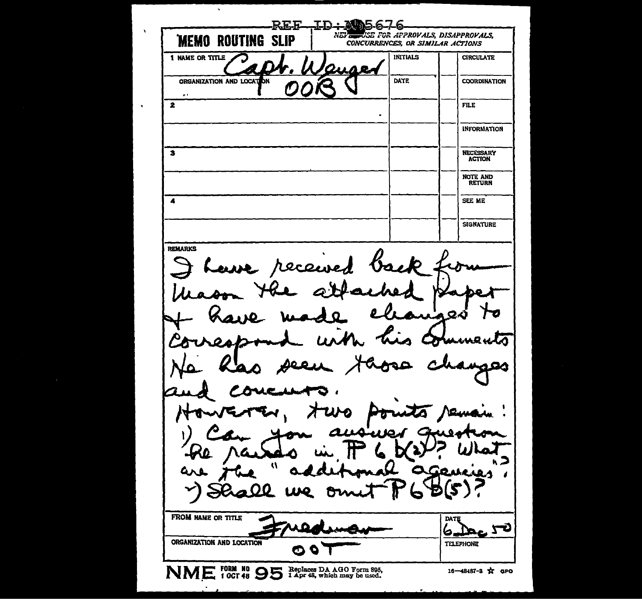REE エロー NE. USE FOR APPROVALS, DISAPPROVALS, **MEMO ROUTING SLIP** CONCURRENCES, OR SIMILAR ACTIONS 1 NAME OR TITLE **INITIALS CIRCULATE** ORGANIZATION AND LOCAT DATE hм **COORDINATION**  $\overline{\mathbf{2}}$ FILE.  $\bullet$ **INFORMATION** NECESSARY<br>ACTION  $\mathbf{3}$ NOTE AND<br>RETURN  $\overline{\mathbf{A}}$ SEE ME **SIGNATURE** REMARKS f Lave received b. И ാഹ sees ago معه Ð مە QQ (5 Đ Q Ð FROM NAME OR TITLE DATE 72 6. ORGANIZATION AND LOCATION **TELEPHONE** O NME FORM #9 95 Replaces DA AGO Form 895, 16-48487-3 ☆ GPO

 $\ddot{\phantom{a}}$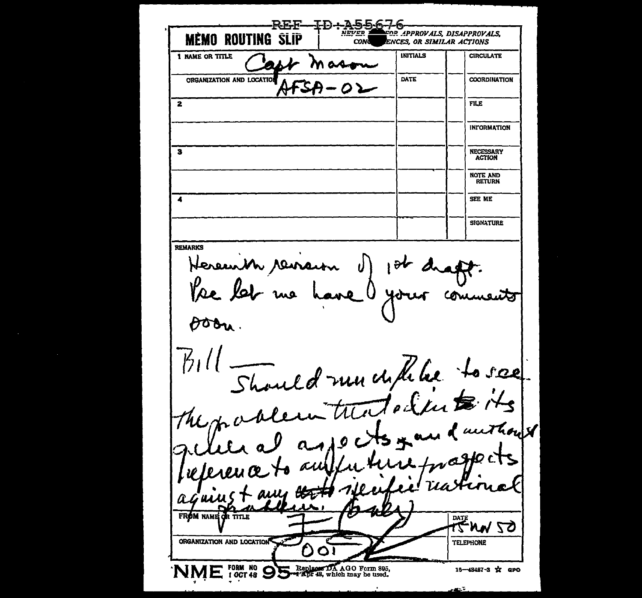≖מדטב OR APPROVALS. DISAPPROVALS. **NEVED MEMO ROUTING SLIP ENCES. OR SIMILAR ACTIONS** CON INITIALS **CIRCULATE 1 NAME OR TITLE**  $\lambda$ M ada ORGANIZATION AND LOCATION **DATE COORDINATION** VТ  $FIR$  $\overline{\mathbf{2}}$ **INFORMATION NECESSARY**  $\mathbf{a}$ **ACTION NOTE AND RETURN** SEE ME  $\overline{a}$ **SIGNATURE REMARKS** Hereunth remain Vse Aoon. Should my childre to see  $\frac{1}{2}$ alematicatalenter The: and octs you d'unthouse n ad FROM NAME OR TITLE FRAW 50 ORGANIZATION AND LOCATION **TELEPHONE** NME FORM NO OD Replaced DA AGO Form 895, 16-48487-3 \* аро esta fi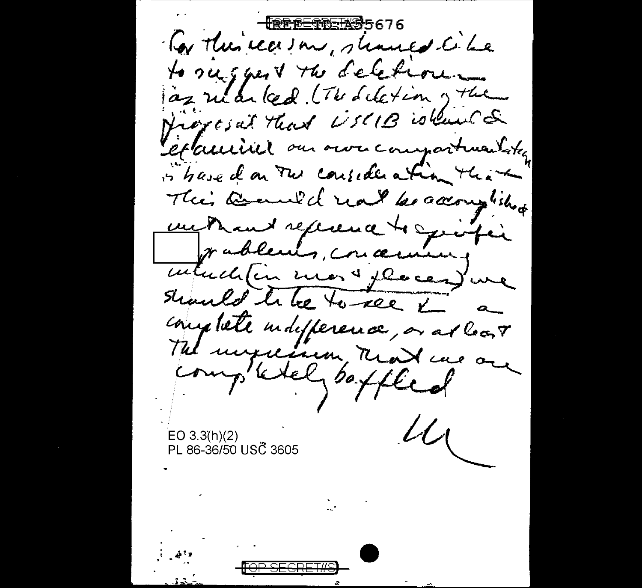<del>¶ଛ୍ଛ୍ଛ⊑କଳ୍⊡¥ቜ</del>5676 To this reason, should be to suggest the deletion ... às riar led the deletion of the Proposal that USCIB is leased Septeminil our own compartmentation is have don Two consideration that Their Banned not because into we thank reference to spiritie wablen's, concerning interde (in more places) une should to be to see & complete indifference, or at look The unpression, Read we are completel , boffled  $u_{\zeta}$ EO 3.3(h)(2) PL 86-36/50 USC 3605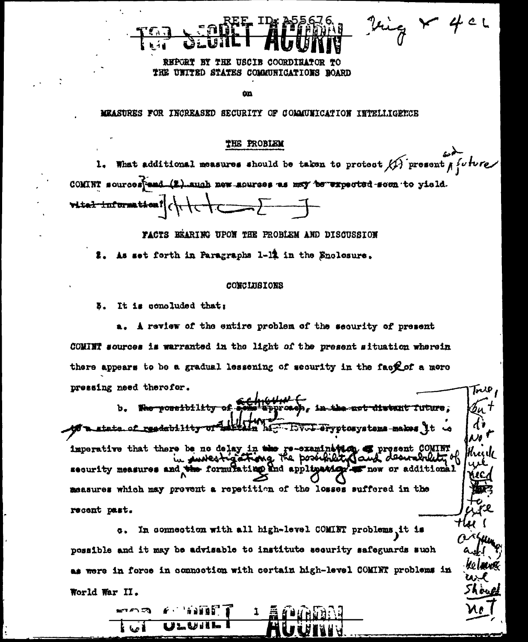**REPORT** BY THE USCIB COORDI THE UNITED STATES COMMUNICATIONS NOARD

ά'n

MEASURES FOR INCREASED SECURITY OF COMMUNICATION INTELLIGETCE

#### THE PROBIEM

1. What additional measures should be taken to protect  $\overrightarrow{H}$  present  $\overrightarrow{f}$  when COMINT sources and (2) auch new sources as may be expected soon to yield. vital information! ( \+ \\_  $\leftarrow$ 

Ving X 40L

جريرا

ke laun

u. h oud

FACTS BEARING UPON THE PROBLEM AND DISCUSSION

2. As set forth in Paragraphs 1-12 in the Snolosure.

#### **CONCLUSIONS**

5. It is concluded that:

A review of the entire problem of the security of present COMINT sources is warranted in the light of the present situation wherein there appears to be a gradual lessening of security in the fact of a more pressing need therefor.

the not diwent future, b. Who possibility Įu' m  $\mathbf{d}$ **Alm** ਮਿੰਟ to a state of readability - EV-L-eryptosystems-makes it a ٣Ţ No t imperative that there be no delay in the re-examination. I present COMINT hade the book security measures and the formulating and appligating with additional " naw measures which may prevent a repetition of the losses suffered in the recent past.

c. In connection with all high-level COMINT problems it is possible and it may be advisable to institute security safeguards such as were in force in connaction with certain high-level COMINT problems in World War II.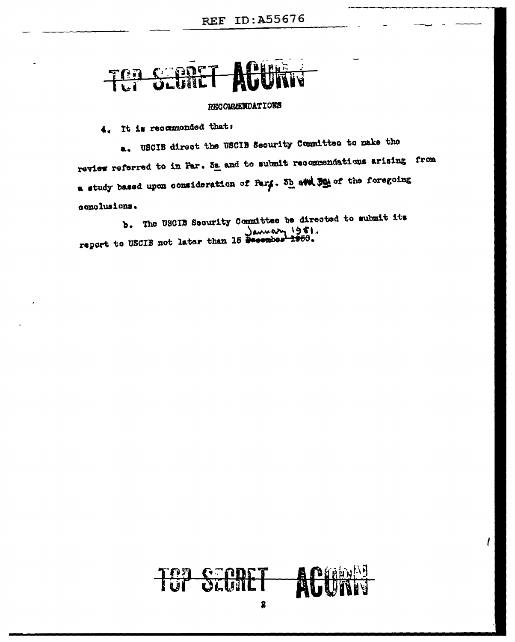# TOP SEBRET

### RECOMMENDATIONS

4. It is recommonded that:

a. USCIB direct the USCIB Security Committee to make the review referred to in Par. Sa and to submit recommendations arising from a study based upon consideration of Park. 3h and John the foregoing conclusions.

b. The USCIB Security Committee be directed to submit its Laumary 1951.<br>report to USCIB not later than 15 December 1950.



 $\mathfrak l$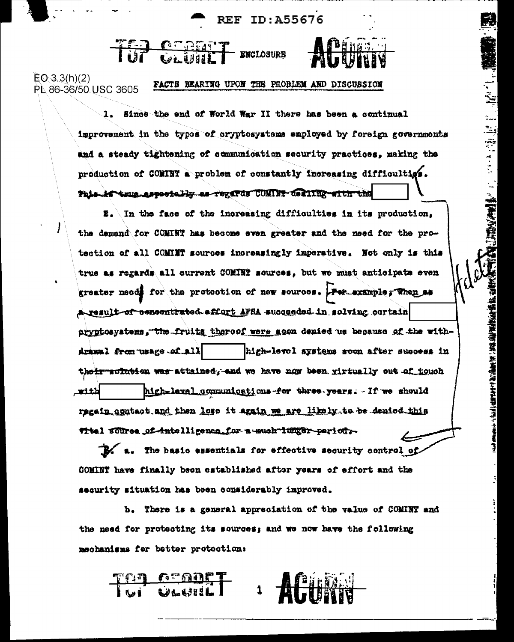**REF ID: A55676** 

THE CERTIFY EXCLOSURE

 $EO 3.3(h)(2)$ FACTS HEARING UPON THE PROBLEM AND DISCUSSION PL 86-36/50 USC 3605

> 1. Since the end of World War II there has been a continual improvement in the types of cryptosystems employed by foreign governments and a steady tightening of communication security practices, making the production of COMINT a problem of constantly increasing difficulties. Phis-if true especielly as regards COMINT desiring with the

「軽大家」大学、現ての歌いがたことであることで、

 $\sharp$ . In the face of the increasing difficulties in its production. the demand for COMINT has become even greater and the need for the protection of all COMINT sources increasingly imperative. Not only is this true as regards all ourrent COMINT sources, but we must anticipate even greater needs for the protection of new sources. For example, Then as A result of concentrated affart AFRA succeeded in solving cortain aryptosystems, the fruits thereof were goon denied us because of the with-Amasal from usage of all | high-level systems soon after success in their suite an was attained, and we have now been rirtually out of touch لنثلت high-level communications for three years. If we should regain agatact and then lose it again we are likely to be denied this titel source of intelligence for a much lumper period.

 $\mathbb{R}$  a. The basic essentials for effective security control of COMINT have finally been established after years of effort and the security situation has been considerably improved.

b. There is a general appreciation of the value of COMINT and the need for protecting its sources; and we now have the following mschanisms for better protection: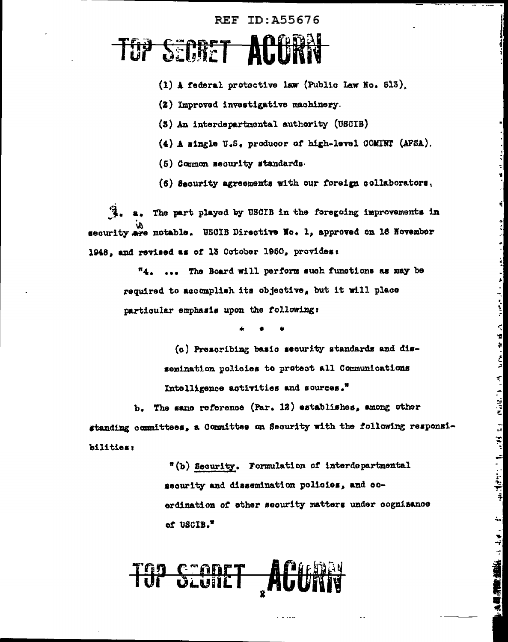### **REF ID: A55676**

### **TOP SECRET ACTUR**

- (1) A federal protoctive law (Public Law No. 513).
- (2) Improved investigative machinery.
- (3) An interdepartmental authority (USCIB)
- (4) A single U.S. producer of high-level COMINT (AFSA).
- (5) Common security standards.
- (6) Security agreements with our foreign collaborators.

a. The part played by USCIB in the foregoing improvements in security are notable. USCIB Directive No. 1, approved on 16 November 1948, and revised as of 13 October 1950, provides:

> "4. ... The Board will perform such functions as may be required to accomplish its objective, but it will place particular emphasis upon the following:

(c) Prescribing basic security standards and dissemination policies to protect all Communications Intelligence activities and sources."

المتعرض ومقاطع وموارد والمنافي والمهارون والملوقات والمتوافق والمحافي

b. The same reference (Par. 12) establishes, among other standing committees, a Committee on Security with the following responsibilities:

> "(b) Security. Formulation of interdepartmental security and dissemination policies, and coordination of other security matters under cognizance of USCIB."

**THE SEGRET ACE**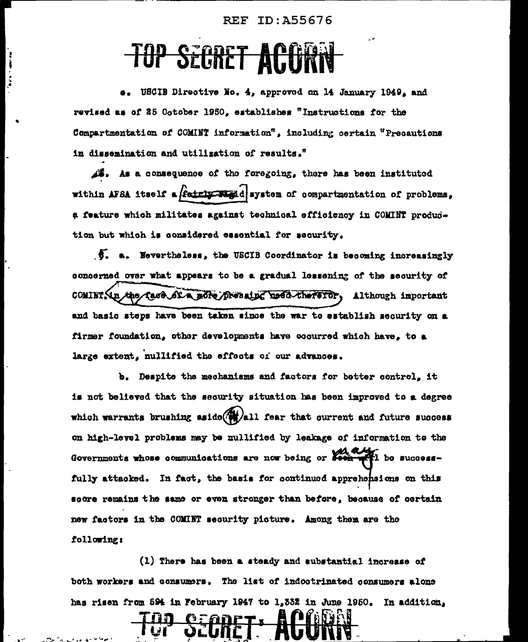### **REF ID: A55676**

## **TOP SEGRET ACT**

ł  $\frac{1}{2}$ 

> USCIB Directive No. 4. approved on 14 January 1949, and revised as of 25 October 1950, establishes "Instructions for the Compartmentation of COMINT information", including certain "Precautions in dissemination and utilization of results."

 $\mathcal{A}$ . As a consequence of the foregoing, there has been instituted within AFSA itself a  $\beta$  at  $\beta$  and  $\beta$  are  $\alpha$  compartmentation of problems, a feature which militates against technical efficiency in COMINT production but which is considered essential for security.

5. a. Nevertheless, the USCIB Coordinator is becoming increasingly concerned over what appears to be a gradual lessening of the security of COMINTSin the face of a nore pressing used therefor, Although important and basic steps have been taken since the war to establish security on a firmer foundation, other developments have eccurred which have, to a large extent, nullified the effects of our advances.

b. Despite the mechanisms and factors for better control, it is not believed that the sequrity situation has been improved to a degree which warrants brushing aside  $\left(\frac{M}{M}\right)$ all fear that ourrent and future success on high-level problems may be mullified by leakage of information to the Governments whose communications are now being or seem with be successfully attacked. In fact, the basis for continued apprehensions on this score remains the same or even stronger than before, because of certain new factors in the COMINT security picture. Among them are the following:

(1) There has been a steady and substantial increase of both workers and consumers. The list of indootrinated consumers alone has risen from 594 in February 1947 to 1,332 in June 1950. In addition,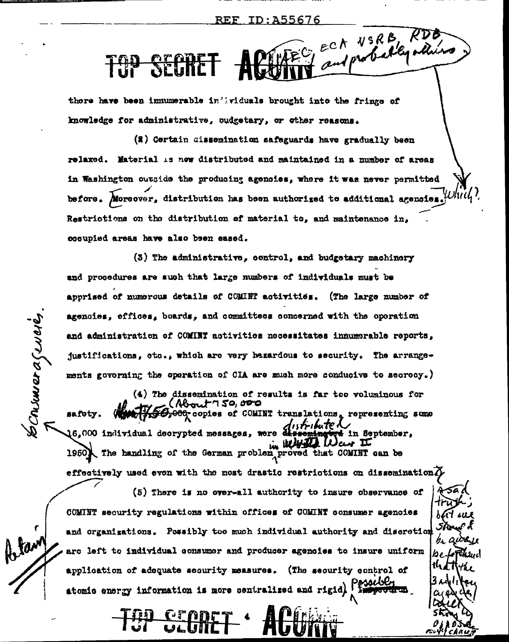MATEC ECK NSRB RDB **TOP SECRE** 

there have been immumerable in 'ividuals brought into the fringe of knowledge for administrative, oudgetary, or other reasons.

(2) Certain dissemination safeguards have gradually been relaxed. Material is new distributed and maintained in a number of areas in Washington outside the producing agencies, where it was never permitted before. Moreover, distribution has been authorized to additional agencies. Restrictions on the distribution of material to, and maintenance in, occupied areas have also been eased.

(3) The administrative, control, and budgetary machinery and procedures are such that large numbers of individuals must be apprised of numerous details of COMINT activities. (The large number of agenoies, effices, boards, and committees concerned with the operation and administration of COMINT activities necessitates innumerable reports, justifications, etc., which are very bazardous to security. The arrangements governing the operation of CIA are much more conducive to secrecy.)

 $(4)$  The dissemination of results is far too voluminous for rut 750,000 40,000 copies of COMINT translations, representing some<br>distribute to the final serverse of the contractors in September, safety. 16,000 individual decrypted messages, were in September. in White The handling of the German problem proved that COMINT can be 1950) effectively used even with the most drastic restrictions on dissemination  $\widetilde{D}$ 

Command Comency

(5) There is no over-all authority to insure observance of COMINT security regulations within offices of COMINT consumer agencies and organizations. Possibly too much individual authority and discretion are left to individual consumer and producer agencies to insure uniform application of adequate security measures. (The security control of atomic energy information is more centralized and rigid).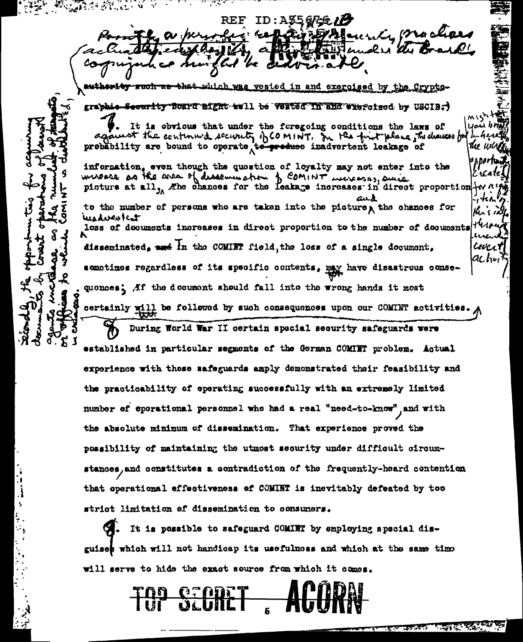**的复数的人** a di Kabupatén Kabupatén Kabupatén Kabupatén Kabupatén Kabupatén Kabupatén Kabupatén Kabupatén Kabupatén Kabupatén Ka REF ID:A356766/7 Janerika Braa a per وسعيه : ۽ authority which was vested in and exercised by the Crypto-**RUGIT AB** grabbie-Security foard might-well be vested in and wiercised by USCIB. It is obvious that under the foregoing conditions the laws of ot the continued security of COMINT. In the finit place the diences for probability are bound to operate to produce inadvertent leakage of tter un information, even though the question of loyalty may not enter into the

werease as the area of dissemination of COMINT increases, since picture at all, The chances for the leakage increases in direct proportion to the number of persons who are taken into the picture, the chances for wadurstent loss of documents increases in direct proportion to the number of documents disseminated. and in the COMINT field, the loss of a single document, acho, sometimes regardless of its specific contents, may have disastrous consequences. Af the decument should fall into the wrong hands it most certainly will be followed by such consequences upon our COMINT activities. During World War II certain special security safeguards were

established in particular segments of the German COMINT problem. Actual experience with these safeguards amply demonstrated their feasibility and the practicability of operating successfully with an extremely limited number of sperational personnel who had a real "need-to-know" and with the absolute minimum of dissemination. That experience proved the possibility of maintaining the utmost security under difficult circumstances, and constitutes a contradiction of the frequently-heard contention that operational effectiveness of COMINT is inevitably defeated by too strict limitation of dissemination to consumers.

 $C_{\bullet}$ . It is possible to safeguard COMINT by employing special disguises which will not handicap its usefulness and which at the same time will serve to hide the exact source from which it comes.



Lives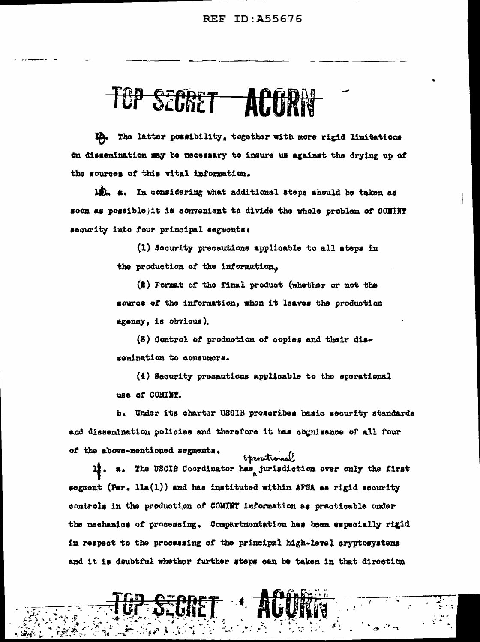### TÜP SECRET **ALTIRE**

The latter possibility, together with more rigid limitations on dissemination may be necessary to insure us against the drying up of the sources of this vital information.

12. a. In considering what additional steps should be taken as soon as possible) it is convenient to divide the whole problem of COMINT security into four principal segments:

> (1) Security precautions applicable to all steps in the production of the information.

(2) Format of the final product (whether or not the source of the information, when it leaves the production agency, is obvious).

(3) Control of production of copies and their dissemination to consumers.

(4) Security precautions applicable to the operational use of COMINT.

b. Under its charter USCIB prescribes basic security standards and dissemination policies and therefore it has cognizance of all four of the above-mentioned segments.

operational a. The USCIB Coordinator has jurisdiction over only the first 11. segment (Par. lla(1)) and has instituted within AFSA as rigid security controls in the production of COMINT information as practicable under the mechanics of processing. Compartmentation has been especially rigid in respect to the processing of the principal high-level cryptosystems and it is doubtful whether further steps can be taken in that direction